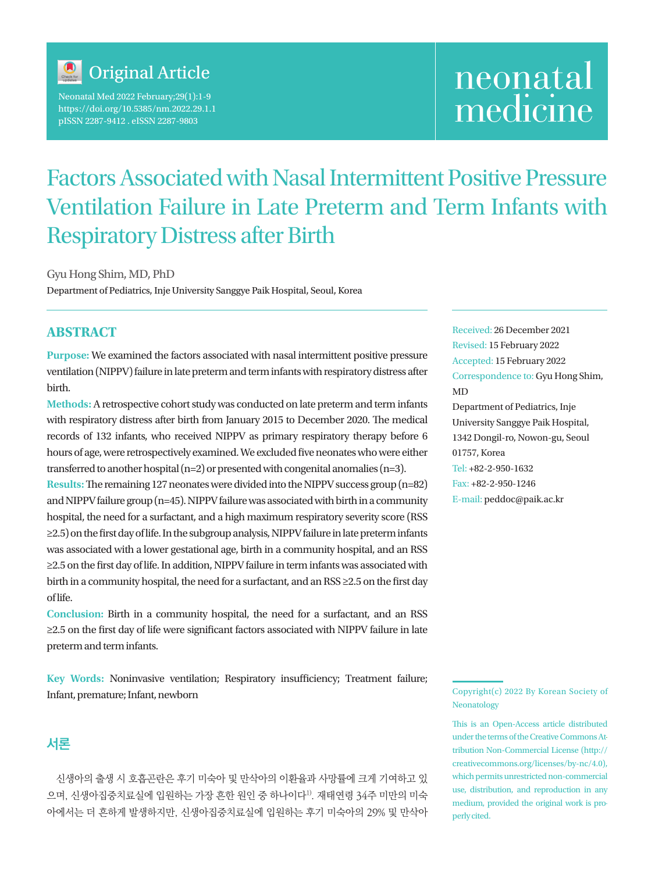

Neonatal Med 2022 February;29(1):1-9 https://doi.org/10.5385/nm.2022.29.1.1 pISSN 2287-9412 . eISSN 2287-9803

# neonatal medicine

## Factors Associated with Nasal Intermittent Positive Pressure Ventilation Failure in Late Preterm and Term Infants with Respiratory Distress after Birth

Gyu Hong Shim, MD, PhD

Department of Pediatrics, Inje University Sanggye Paik Hospital, Seoul, Korea

## **ABSTRACT**

**Purpose:** We examined the factors associated with nasal intermittent positive pressure ventilation (NIPPV) failure in late preterm and term infants with respiratory distress after birth.

**Methods:** A retrospective cohort study was conducted on late preterm and term infants with respiratory distress after birth from January 2015 to December 2020. The medical records of 132 infants, who received NIPPV as primary respiratory therapy before 6 hours of age, were retrospectively examined. We excluded five neonates who were either transferred to another hospital (n=2) or presented with congenital anomalies (n=3).

**Results:**The remaining 127 neonates were divided into the NIPPV success group (n=82) and NIPPV failure group (n=45). NIPPV failure was associated with birth in a community hospital, the need for a surfactant, and a high maximum respiratory severity score (RSS ≥2.5) on the first day of life. In the subgroup analysis, NIPPV failure in late preterm infants was associated with a lower gestational age, birth in a community hospital, and an RSS ≥2.5 on the first day of life. In addition, NIPPV failure in term infants was associated with birth in a community hospital, the need for a surfactant, and an RSS ≥2.5 on the first day of life.

**Conclusion:** Birth in a community hospital, the need for a surfactant, and an RSS ≥2.5 on the first day of life were significant factors associated with NIPPV failure in late preterm and term infants.

**Key Words:** Noninvasive ventilation; Respiratory insufficiency; Treatment failure; Infant, premature; Infant, newborn

## **서론**

신생아의 출생 시 호흡곤란은 후기 미숙아 및 만삭아의 이환율과 사망률에 크게 기여하고 있 으며, 신생아집중치료실에 입원하는 가장 흔한 원인 중 하나이다<sup>1)</sup>. 재태연령 34주 미만의 미숙 아에서는 더 흔하게 발생하지만, 신생아집중치료실에 입원하는 후기 미숙아의 29% 및 만삭아 Received: 26 December 2021 Revised: 15 February 2022 Accepted: 15 February 2022 Correspondence to: Gyu Hong Shim, MD Department of Pediatrics, Inje University Sanggye Paik Hospital, 1342 Dongil-ro, Nowon-gu, Seoul 01757, Korea Tel: +82-2-950-1632 Fax: +82-2-950-1246 E-mail: peddoc@paik.ac.kr

Copyright(c) 2022 By Korean Society of Neonatology

This is an Open-Access article distributed under the terms of the Creative Commons Attribution Non-Commercial License (http:// creativecommons.org/licenses/by-nc/4.0), which permits unrestricted non-commercial use, distribution, and reproduction in any medium, provided the original work is properly cited.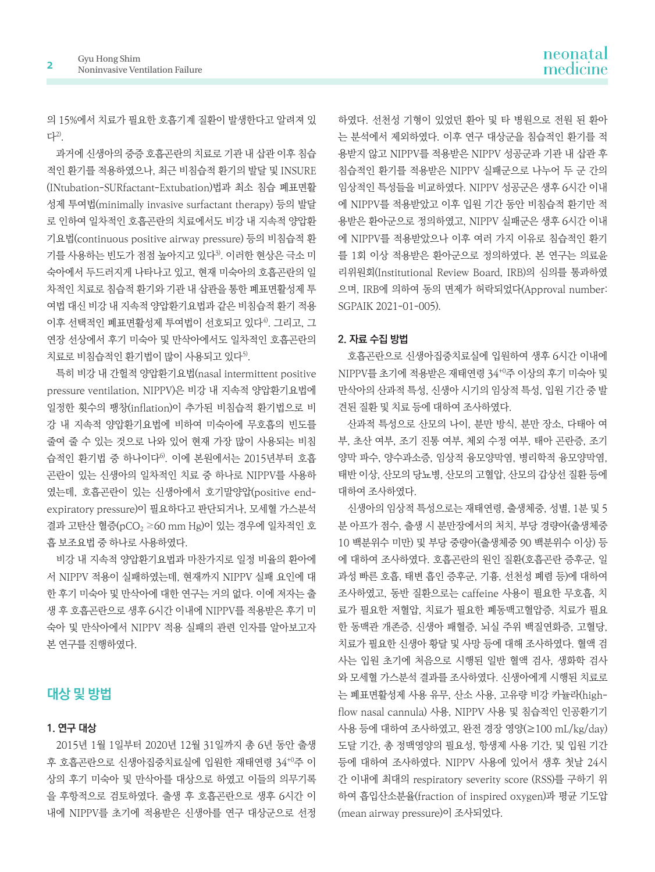의 15%에서 치료가 필요한 호흡기계 질환이 발생한다고 알려져 있 다2).

과거에 신생아의 중증 호흡곤란의 치료로 기관 내 삽관 이후 침습 적인 환기를 적용하였으나, 최근 비침습적 환기의 발달 및 INSURE (INtubation-SURfactant-Extubation)법과 최소 침습 폐표면활 성제 투여법(minimally invasive surfactant therapy) 등의 발달 로 인하여 일차적인 호흡곤란의 치료에서도 비강 내 지속적 양압환 기요법(continuous positive airway pressure) 등의 비침습적 환 기를 사용하는 빈도가 점점 높아지고 있다3). 이러한 현상은 극소 미 숙아에서 두드러지게 나타나고 있고, 현재 미숙아의 호흡곤란의 일 차적인 치료로 침습적 환기와 기관 내 삽관을 통한 폐표면활성제 투 여법 대신 비강 내 지속적 양압환기요법과 같은 비침습적 환기 적용 이후 선택적인 폐표면활성제 투여법이 선호되고 있다4). 그리고, 그 연장 선상에서 후기 미숙아 및 만삭아에서도 일차적인 호흡곤란의 치료로 비침습적인 환기법이 많이 사용되고 있다<sup>5)</sup>.

특히 비강 내 간헐적 양압환기요법(nasal intermittent positive pressure ventilation, NIPPV)은 비강 내 지속적 양압환기요법에 일정한 횟수의 팽창(inflation)이 추가된 비침습적 환기법으로 비 강 내 지속적 양압환기요법에 비하여 미숙아에 무호흡의 빈도를 줄여 줄 수 있는 것으로 나와 있어 현재 가장 많이 사용되는 비침 습적인 환기법 중 하나이다6). 이에 본원에서는 2015년부터 호흡 곤란이 있는 신생아의 일차적인 치료 중 하나로 NIPPV를 사용하 였는데, 호흡곤란이 있는 신생아에서 호기말양압(positive endexpiratory pressure)이 필요하다고 판단되거나, 모세혈 가스분석 결과 고탄산 혈증(pCO<sub>2</sub> ≥60 mm Hg)이 있는 경우에 일차적인 호 흡 보조요법 중 하나로 사용하였다.

비강 내 지속적 양압환기요법과 마찬가지로 일정 비율의 환아에 서 NIPPV 적용이 실패하였는데, 현재까지 NIPPV 실패 요인에 대 한 후기 미숙아 및 만삭아에 대한 연구는 거의 없다. 이에 저자는 출 생 후 호흡곤란으로 생후 6시간 이내에 NIPPV를 적용받은 후기 미 숙아 및 만삭아에서 NIPPV 적용 실패의 관련 인자를 알아보고자 본 연구를 진행하였다.

## **대상 및 방법**

#### **1. 연구 대상**

2015년 1월 1일부터 2020년 12월 31일까지 총 6년 동안 출생 후 호흡곤란으로 신생아집중치료실에 입원한 재태연령 34+0주 이 상의 후기 미숙아 및 만삭아를 대상으로 하였고 이들의 의무기록 을 후항적으로 검토하였다. 출생 후 호흡곤란으로 생후 6시간 이 내에 NIPPV를 초기에 적용받은 신생아를 연구 대상군으로 선정

하였다. 선천성 기형이 있었던 환아 및 타 병원으로 전원 된 환아 는 분석에서 제외하였다. 이후 연구 대상군을 침습적인 환기를 적 용받지 않고 NIPPV를 적용받은 NIPPV 성공군과 기관 내 삽관 후 침습적인 환기를 적용받은 NIPPV 실패군으로 나누어 두 군 간의 임상적인 특성들을 비교하였다. NIPPV 성공군은 생후 6시간 이내 에 NIPPV를 적용받았고 이후 입원 기간 동안 비침습적 환기만 적 용받은 환아군으로 정의하였고, NIPPV 실패군은 생후 6시간 이내 에 NIPPV를 적용받았으나 이후 여러 가지 이유로 침습적인 환기 를 1회 이상 적용받은 환아군으로 정의하였다. 본 연구는 의료윤 리위원회(Institutional Review Board, IRB)의 심의를 통과하였 으며, IRB에 의하여 동의 면제가 허락되었다(Approval number: SGPAIK 2021-01-005).

#### **2. 자료 수집 방법**

호흡곤란으로 신생아집중치료실에 입원하여 생후 6시간 이내에 NIPPV를 초기에 적용받은 재태연령 34+0주 이상의 후기 미숙아 및 만삭아의 산과적 특성, 신생아 시기의 임상적 특성, 입원 기간 중 발 견된 질환 및 치료 등에 대하여 조사하였다.

산과적 특성으로 산모의 나이, 분만 방식, 분만 장소, 다태아 여 부, 초산 여부, 조기 진통 여부, 체외 수정 여부, 태아 곤란증, 조기 양막 파수, 양수과소증, 임상적 융모양막염, 병리학적 융모양막염, 태반 이상, 산모의 당뇨병, 산모의 고혈압, 산모의 갑상선 질환 등에 대하여 조사하였다.

신생아의 임상적 특성으로는 재태연령, 출생체중, 성별, 1분 및 5 분 아프가 점수, 출생 시 분만장에서의 처치, 부당 경량아(출생체중 10 백분위수 미만) 및 부당 중량아(출생체중 90 백분위수 이상) 등 에 대하여 조사하였다. 호흡곤란의 원인 질환(호흡곤란 증후군, 일 과성 빠른 호흡, 태변 흡인 증후군, 기흉, 선천성 폐렴 등)에 대하여 조사하였고, 동반 질환으로는 caffeine 사용이 필요한 무호흡, 치 료가 필요한 저혈압, 치료가 필요한 폐동맥고혈압증, 치료가 필요 한 동맥관 개존증, 신생아 패혈증, 뇌실 주위 백질연화증, 고혈당, 치료가 필요한 신생아 황달 및 사망 등에 대해 조사하였다. 혈액 검 사는 입원 초기에 처음으로 시행된 일반 혈액 검사, 생화학 검사 와 모세혈 가스분석 결과를 조사하였다. 신생아에게 시행된 치료로 는 폐표면활성제 사용 유무, 산소 사용, 고유량 비강 카뉼라(highflow nasal cannula) 사용, NIPPV 사용 및 침습적인 인공환기기 사용 등에 대하여 조사하였고, 완전 경장 영양(≥100 mL/kg/day) 도달 기간, 총 정맥영양의 필요성, 항생제 사용 기간, 및 입원 기간 등에 대하여 조사하였다. NIPPV 사용에 있어서 생후 첫날 24시 간 이내에 최대의 respiratory severity score (RSS)를 구하기 위 하여 흡입산소분율(fraction of inspired oxygen)과 평균 기도압 (mean airway pressure)이 조사되었다.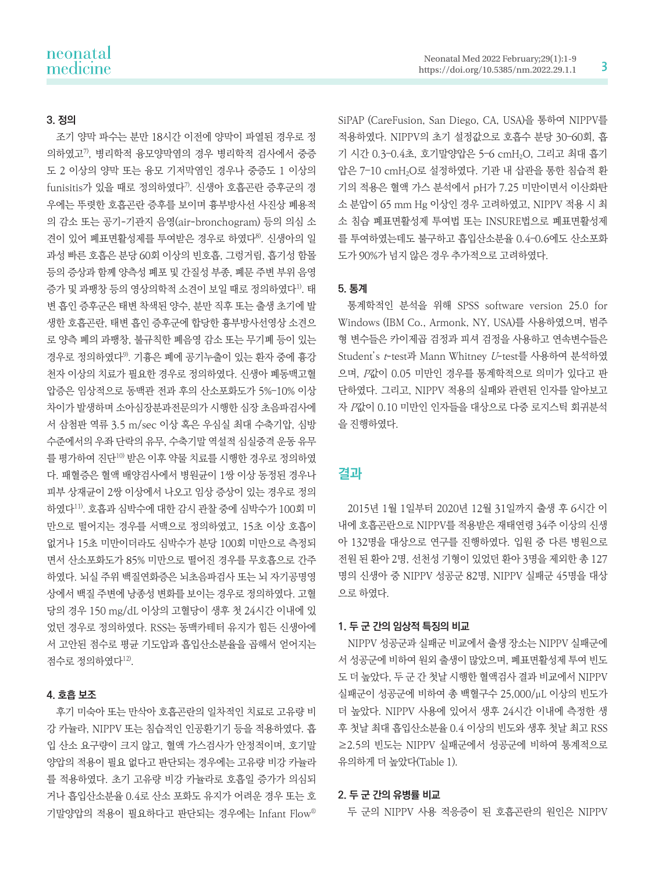#### **3. 정의**

조기 양막 파수는 분만 18시간 이전에 양막이 파열된 경우로 정 의하였고7), 병리학적 융모양막염의 경우 병리학적 검사에서 중증 도 2 이상의 양막 또는 융모 기저막염인 경우나 중증도 1 이상의  $f$ unisitis가 있을 때로 정의하였다 $7$ . 신생아 호흡곤란 증후군의 경 우에는 뚜렷한 호흡곤란 증후를 보이며 흉부방사선 사진상 폐용적 의 감소 또는 공기-기관지 음영(air-bronchogram) 등의 의심 소 견이 있어 폐표면활성제를 투여받은 경우로 하였다8). 신생아의 일 과성 빠른 호흡은 분당 60회 이상의 빈호흡, 그렁거림, 흡기성 함몰 등의 증상과 함께 양측성 폐포 및 간질성 부종, 폐문 주변 부위 음영 증가 및 과팽창 등의 영상의학적 소견이 보일 때로 정의하였다1). 태 변 흡인 증후군은 태변 착색된 양수, 분만 직후 또는 출생 초기에 발 생한 호흡곤란, 태변 흡인 증후군에 합당한 흉부방사선영상 소견으 로 양측 폐의 과팽창, 불규칙한 폐음영 감소 또는 무기폐 등이 있는 경우로 정의하였다9). 기흉은 폐에 공기누출이 있는 환자 중에 흉강 천자 이상의 치료가 필요한 경우로 정의하였다. 신생아 폐동맥고혈 압증은 임상적으로 동맥관 전과 후의 산소포화도가 5%–10% 이상 차이가 발생하며 소아심장분과전문의가 시행한 심장 초음파검사에 서 삼첨판 역류 3.5 m/sec 이상 혹은 우심실 최대 수축기압, 심방 수준에서의 우좌 단락의 유무, 수축기말 역설적 심실중격 운동 유무 를 평가하여 진단10) 받은 이후 약물 치료를 시행한 경우로 정의하였 다. 패혈증은 혈액 배양검사에서 병원균이 1쌍 이상 동정된 경우나 피부 상재균이 2쌍 이상에서 나오고 임상 증상이 있는 경우로 정의 하였다11). 호흡과 심박수에 대한 감시 관찰 중에 심박수가 100회 미 만으로 떨어지는 경우를 서맥으로 정의하였고, 15초 이상 호흡이 없거나 15초 미만이더라도 심박수가 분당 100회 미만으로 측정되 면서 산소포화도가 85% 미만으로 떨어진 경우를 무호흡으로 간주 하였다. 뇌실 주위 백질연화증은 뇌초음파검사 또는 뇌 자기공명영 상에서 백질 주변에 낭종성 변화를 보이는 경우로 정의하였다. 고혈 당의 경우 150 mg/dL 이상의 고혈당이 생후 첫 24시간 이내에 있 었던 경우로 정의하였다. RSS는 동맥카테터 유지가 힘든 신생아에 서 고안된 점수로 평균 기도압과 흡입산소분율을 곱해서 얻어지는 점수로 정의하였다12).

#### **4. 호흡 보조**

후기 미숙아 또는 만삭아 호흡곤란의 일차적인 치료로 고유량 비 강 카뉼라, NIPPV 또는 침습적인 인공환기기 등을 적용하였다. 흡 입 산소 요구량이 크지 않고, 혈액 가스검사가 안정적이며, 호기말 양압의 적용이 필요 없다고 판단되는 경우에는 고유량 비강 카뉼라 를 적용하였다. 초기 고유량 비강 카뉼라로 호흡일 증가가 의심되 거나 흡입산소분율 0.4로 산소 포화도 유지가 어려운 경우 또는 호 기말양압의 적용이 필요하다고 판단되는 경우에는 Infant Flow®

SiPAP (CareFusion, San Diego, CA, USA)을 통하여 NIPPV를 적용하였다. NIPPV의 초기 설정값으로 호흡수 분당 30–60회, 흡 기 시간 0.3–0.4초, 호기말양압은 5–6 cmH2O, 그리고 최대 흡기 압은 7–10 cmH2O로 설정하였다. 기관 내 삽관을 통한 침습적 환 기의 적용은 혈액 가스 분석에서 pH가 7.25 미만이면서 이산화탄 소 분압이 65 mm Hg 이상인 경우 고려하였고, NIPPV 적용 시 최 소 침습 폐표면활성제 투여법 또는 INSURE법으로 폐표면활성제 를 투여하였는데도 불구하고 흡입산소분율 0.4–0.6에도 산소포화 도가 90%가 넘지 않은 경우 추가적으로 고려하였다.

#### **5. 통계**

통계학적인 분석을 위해 SPSS software version 25.0 for Windows (IBM Co., Armonk, NY, USA)를 사용하였으며, 범주 형 변수들은 카이제곱 검정과 피셔 검정을 사용하고 연속변수들은 Student's t-test과 Mann Whitney U-test를 사용하여 분석하였 으며, P값이 0.05 미만인 경우를 통계학적으로 의미가 있다고 판 단하였다. 그리고, NIPPV 적용의 실패와 관련된 인자를 알아보고 자 P값이 0.10 미만인 인자들을 대상으로 다중 로지스틱 회귀분석 을 진행하였다.

#### **결과**

2015년 1월 1일부터 2020년 12월 31일까지 출생 후 6시간 이 내에 호흡곤란으로 NIPPV를 적용받은 재태연령 34주 이상의 신생 아 132명을 대상으로 연구를 진행하였다. 입원 중 다른 병원으로 전원 된 환아 2명, 선천성 기형이 있었던 환아 3명을 제외한 총 127 명의 신생아 중 NIPPV 성공군 82명, NIPPV 실패군 45명을 대상 으로 하였다.

#### **1. 두 군 간의 임상적 특징의 비교**

NIPPV 성공군과 실패군 비교에서 출생 장소는 NIPPV 실패군에 서 성공군에 비하여 원외 출생이 많았으며, 폐표면활성제 투여 빈도 도 더 높았다, 두 군 간 첫날 시행한 혈액검사 결과 비교에서 NIPPV 실패군이 성공군에 비하여 총 백혈구수 25,000/μL 이상의 빈도가 더 높았다. NIPPV 사용에 있어서 생후 24시간 이내에 측정한 생 후 첫날 최대 흡입산소분율 0.4 이상의 빈도와 생후 첫날 최고 RSS ≥2.5의 빈도는 NIPPV 실패군에서 성공군에 비하여 통계적으로 유의하게 더 높았다(Table 1).

#### **2. 두 군 간의 유병률 비교**

두 군의 NIPPV 사용 적응증이 된 호흡곤란의 원인은 NIPPV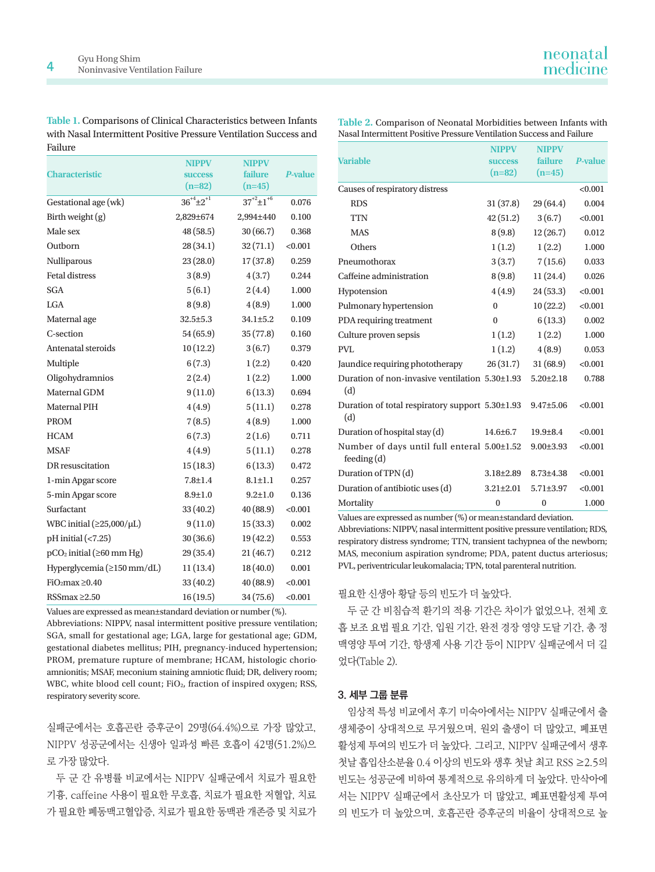**Table 1.** Comparisons of Clinical Characteristics between Infants with Nasal Intermittent Positive Pressure Ventilation Success and Failure

|                                   | <b>NIPPV</b>         | <b>NIPPV</b>         | <b>P-value</b> |  |
|-----------------------------------|----------------------|----------------------|----------------|--|
| <b>Characteristic</b>             | <b>SUCCESS</b>       | failure              |                |  |
|                                   | $(n=82)$             | $(n=45)$             |                |  |
| Gestational age (wk)              | $36^{+4} \pm 2^{+1}$ | $37^{+2} \pm 1^{+6}$ | 0.076          |  |
| Birth weight (g)                  | 2,829±674            | 2,994±440            | 0.100          |  |
| Male sex                          | 48 (58.5)            | 30(66.7)             | 0.368          |  |
| Outborn                           | 28 (34.1)            | 32(71.1)             | < 0.001        |  |
| Nulliparous                       | 23(28.0)             | 17(37.8)             | 0.259          |  |
| <b>Fetal distress</b>             | 3(8.9)               | 4(3.7)               | 0.244          |  |
| <b>SGA</b>                        | 5(6.1)               | 2(4.4)               | 1.000          |  |
| LGA                               | 8(9.8)               | 4(8.9)               | 1.000          |  |
| Maternal age                      | 32.5±5.3             | $34.1 \pm 5.2$       | 0.109          |  |
| C-section                         | 54 (65.9)            | 35(77.8)             | 0.160          |  |
| Antenatal steroids                | 10(12.2)             | 3(6.7)               | 0.379          |  |
| Multiple                          | 6(7.3)               | 1(2.2)               | 0.420          |  |
| Oligohydramnios                   | 2(2.4)               | 1(2.2)               | 1.000          |  |
| Maternal GDM                      | 9(11.0)              | 6(13.3)              | 0.694          |  |
| <b>Maternal PIH</b>               | 4(4.9)               | 5(11.1)              | 0.278          |  |
| <b>PROM</b>                       | 7(8.5)               | 4(8.9)               | 1.000          |  |
| <b>HCAM</b>                       | 6(7.3)               | 2(1.6)               | 0.711          |  |
| <b>MSAF</b>                       | 4(4.9)               | 5(11.1)              | 0.278          |  |
| DR resuscitation                  | 15(18.3)             | 6(13.3)              | 0.472          |  |
| 1-min Apgar score                 | $7.8 \pm 1.4$        | $8.1 \pm 1.1$        | 0.257          |  |
| 5-min Apgar score                 | $8.9 + 1.0$          | $9.2 \pm 1.0$        | 0.136          |  |
| Surfactant                        | 33 (40.2)            | 40 (88.9)            | < 0.001        |  |
| WBC initial $(\geq 25,000/\mu L)$ | 9(11.0)              | 15(33.3)             | 0.002          |  |
| $pH$ initial (<7.25)              | 30(36.6)             | 19 (42.2)            | 0.553          |  |
| $pCO2$ initial ( $\geq 60$ mm Hg) | 29 (35.4)            | 21(46.7)             | 0.212          |  |
| Hyperglycemia (≥150 mm/dL)        | 11(13.4)             | 18(40.0)             | 0.001          |  |
| FiO2max $\geq$ 0.40               | 33(40.2)             | 40(88.9)             | < 0.001        |  |
| RSSmax $\geq$ 2.50                | 16(19.5)             | 34 (75.6)            | < 0.001        |  |

Values are expressed as mean±standard deviation or number (%).

Abbreviations: NIPPV, nasal intermittent positive pressure ventilation; SGA, small for gestational age; LGA, large for gestational age; GDM, gestational diabetes mellitus; PIH, pregnancy-induced hypertension; PROM, premature rupture of membrane; HCAM, histologic chorioamnionitis; MSAF, meconium staining amniotic fluid; DR, delivery room; WBC, white blood cell count; FiO<sub>2</sub>, fraction of inspired oxygen; RSS, respiratory severity score.

실패군에서는 호흡곤란 증후군이 29명(64.4%)으로 가장 많았고, NIPPV 성공군에서는 신생아 일과성 빠른 호흡이 42명(51.2%)으 로 가장 많았다.

두 군 간 유병률 비교에서는 NIPPV 실패군에서 치료가 필요한 기흉, caffeine 사용이 필요한 무호흡, 치료가 필요한 저혈압, 치료 가 필요한 폐동맥고혈압증, 치료가 필요한 동맥관 개존증 및 치료가

| Table 2. Comparison of Neonatal Morbidities between Infants with     |
|----------------------------------------------------------------------|
| Nasal Intermittent Positive Pressure Ventilation Success and Failure |

|                                                           | <b>NIPPV</b>    | <b>NIPPV</b>    |                |
|-----------------------------------------------------------|-----------------|-----------------|----------------|
| <b>Variable</b>                                           | <b>SUCCESS</b>  | failure         | <b>P-value</b> |
|                                                           | $(n=82)$        | $(n=45)$        |                |
| Causes of respiratory distress                            |                 |                 | < 0.001        |
| <b>RDS</b>                                                | 31 (37.8)       | 29 (64.4)       | 0.004          |
| <b>TTN</b>                                                | 42 (51.2)       | 3(6.7)          | < 0.001        |
| <b>MAS</b>                                                | 8(9.8)          | 12(26.7)        | 0.012          |
| Others                                                    | 1(1.2)          | 1(2.2)          | 1.000          |
| Pneumothorax                                              | 3(3.7)          | 7(15.6)         | 0.033          |
| Caffeine administration                                   | 8(9.8)          | 11(24.4)        | 0.026          |
| Hypotension                                               | 4(4.9)          | 24 (53.3)       | < 0.001        |
| Pulmonary hypertension                                    | $\theta$        | 10(22.2)        | < 0.001        |
| PDA requiring treatment                                   | $\theta$        | 6(13.3)         | 0.002          |
| Culture proven sepsis                                     | 1(1.2)          | 1(2.2)          | 1.000          |
| PVL.                                                      | 1(1.2)          | 4(8.9)          | 0.053          |
| Jaundice requiring phototherapy                           | 26(31.7)        | 31(68.9)        | < 0.001        |
| Duration of non-invasive ventilation 5.30±1.93<br>(d)     |                 | $5.20 \pm 2.18$ | 0.788          |
| Duration of total respiratory support 5.30±1.93<br>(d)    |                 | $9.47 \pm 5.06$ | < 0.001        |
| Duration of hospital stay (d)                             | $14.6 \pm 6.7$  | $19.9 + 8.4$    | < 0.001        |
| Number of days until full enteral 5.00±1.52<br>feeding(d) |                 | $9.00 \pm 3.93$ | < 0.001        |
| Duration of TPN (d)                                       | $3.18 \pm 2.89$ | $8.73 \pm 4.38$ | < 0.001        |
| Duration of antibiotic uses (d)                           | $3.21 \pm 2.01$ | $5.71 \pm 3.97$ | < 0.001        |
| Mortality                                                 | $\bf{0}$        | $\bf{0}$        | 1.000          |

Values are expressed as number (%) or mean±standard deviation.

Abbreviations: NIPPV, nasal intermittent positive pressure ventilation; RDS, respiratory distress syndrome; TTN, transient tachypnea of the newborn; MAS, meconium aspiration syndrome; PDA, patent ductus arteriosus; PVL, periventricular leukomalacia; TPN, total parenteral nutrition.

필요한 신생아 황달 등의 빈도가 더 높았다.

두 군 간 비침습적 환기의 적용 기간은 차이가 없었으나, 전체 호 흡 보조 요법 필요 기간, 입원 기간, 완전 경장 영양 도달 기간, 총 정 맥영양 투여 기간, 항생제 사용 기간 등이 NIPPV 실패군에서 더 길 었다(Table 2).

#### **3. 세부 그룹 분류**

임상적 특성 비교에서 후기 미숙아에서는 NIPPV 실패군에서 출 생체중이 상대적으로 무거웠으며, 원외 출생이 더 많았고, 폐표면 활성제 투여의 빈도가 더 높았다. 그리고, NIPPV 실패군에서 생후 첫날 흡입산소분율 0.4 이상의 빈도와 생후 첫날 최고 RSS ≥2.5의 빈도는 성공군에 비하여 통계적으로 유의하게 더 높았다. 만삭아에 서는 NIPPV 실패군에서 초산모가 더 많았고, 폐표면활성제 투여 의 빈도가 더 높았으며, 호흡곤란 증후군의 비율이 상대적으로 높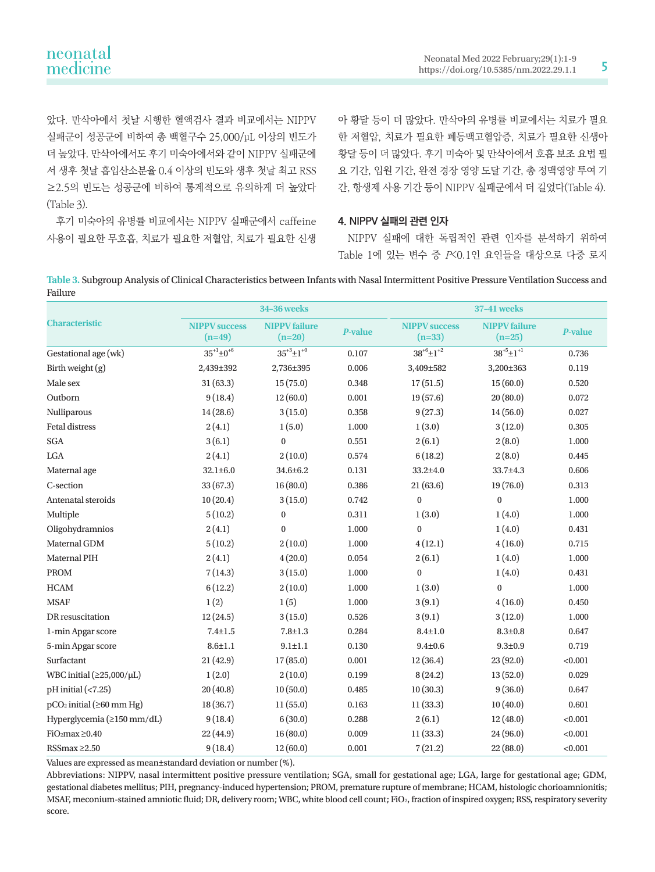| neonatal |  |
|----------|--|
| medicine |  |

았다. 만삭아에서 첫날 시행한 혈액검사 결과 비교에서는 NIPPV 실패군이 성공군에 비하여 총 백혈구수 25,000/μL 이상의 빈도가 더 높았다. 만삭아에서도 후기 미숙아에서와 같이 NIPPV 실패군에 서 생후 첫날 흡입산소분율 0.4 이상의 빈도와 생후 첫날 최고 RSS ≥2.5의 빈도는 성공군에 비하여 통계적으로 유의하게 더 높았다 (Table 3).

후기 미숙아의 유병률 비교에서는 NIPPV 실패군에서 caffeine 사용이 필요한 무호흡, 치료가 필요한 저혈압, 치료가 필요한 신생 아 황달 등이 더 많았다. 만삭아의 유병률 비교에서는 치료가 필요 한 저혈압, 치료가 필요한 폐동맥고혈압증, 치료가 필요한 신생아 황달 등이 더 많았다. 후기 미숙아 및 만삭아에서 호흡 보조 요법 필 요 기간, 입원 기간, 완전 경장 영양 도달 기간, 총 정맥영양 투여 기 간, 항생제 사용 기간 등이 NIPPV 실패군에서 더 길었다(Table 4).

#### **4. NIPPV 실패의 관련 인자**

NIPPV 실패에 대한 독립적인 관련 인자를 분석하기 위하여 Table 1에 있는 변수 중 P<0.1인 요인들을 대상으로 다중 로지

**Table 3.** Subgroup Analysis of Clinical Characteristics between Infants with Nasal Intermittent Positive Pressure Ventilation Success and Failure

|                                   | <b>34-36 weeks</b>               |                                  |                | <b>37-41 weeks</b>               |                                  |                |  |
|-----------------------------------|----------------------------------|----------------------------------|----------------|----------------------------------|----------------------------------|----------------|--|
| <b>Characteristic</b>             | <b>NIPPV</b> success<br>$(n=49)$ | <b>NIPPV</b> failure<br>$(n=20)$ | <b>P-value</b> | <b>NIPPV</b> success<br>$(n=33)$ | <b>NIPPV</b> failure<br>$(n=25)$ | <b>P-value</b> |  |
| Gestational age (wk)              | $35^{+1} \pm 0^{+6}$             | $35^{+3} \pm 1^{+0}$             | 0.107          | $38^{+6} \pm 1^{+2}$             | $38^{+5} \pm 1^{+1}$             | 0.736          |  |
| Birth weight $(g)$                | 2,439±392                        | 2,736±395                        | 0.006          | 3,409±582                        | 3,200±363                        | 0.119          |  |
| Male sex                          | 31(63.3)                         | 15(75.0)                         | 0.348          | 17(51.5)                         | 15(60.0)                         | 0.520          |  |
| Outborn                           | 9(18.4)                          | 12(60.0)                         | 0.001          | 19(57.6)                         | 20(80.0)                         | 0.072          |  |
| Nulliparous                       | 14(28.6)                         | 3(15.0)                          | 0.358          | 9(27.3)                          | 14(56.0)                         | 0.027          |  |
| <b>Fetal distress</b>             | 2(4.1)                           | 1(5.0)                           | 1.000          | 1(3.0)                           | 3(12.0)                          | 0.305          |  |
| SGA                               | 3(6.1)                           | $\mathbf{0}$                     | 0.551          | 2(6.1)                           | 2(8.0)                           | 1.000          |  |
| LGA                               | 2(4.1)                           | 2(10.0)                          | 0.574          | 6(18.2)                          | 2(8.0)                           | 0.445          |  |
| Maternal age                      | $32.1 \pm 6.0$                   | $34.6 \pm 6.2$                   | 0.131          | $33.2{\pm}4.0$                   | 33.7±4.3                         | 0.606          |  |
| C-section                         | 33(67.3)                         | 16(80.0)                         | 0.386          | 21(63.6)                         | 19(76.0)                         | 0.313          |  |
| Antenatal steroids                | 10(20.4)                         | 3(15.0)                          | 0.742          | $\mathbf{0}$                     | $\boldsymbol{0}$                 | 1.000          |  |
| Multiple                          | 5(10.2)                          | $\bf{0}$                         | 0.311          | 1(3.0)                           | 1(4.0)                           | 1.000          |  |
| Oligohydramnios                   | 2(4.1)                           | $\mathbf{0}$                     | 1.000          | $\mathbf{0}$                     | 1(4.0)                           | 0.431          |  |
| Maternal GDM                      | 5(10.2)                          | 2(10.0)                          | 1.000          | 4(12.1)                          | 4(16.0)                          | 0.715          |  |
| Maternal PIH                      | 2(4.1)                           | 4(20.0)                          | 0.054          | 2(6.1)                           | 1(4.0)                           | 1.000          |  |
| <b>PROM</b>                       | 7(14.3)                          | 3(15.0)                          | 1.000          | $\mathbf{0}$                     | 1(4.0)                           | 0.431          |  |
| <b>HCAM</b>                       | 6(12.2)                          | 2(10.0)                          | 1.000          | 1(3.0)                           | $\boldsymbol{0}$                 | 1.000          |  |
| <b>MSAF</b>                       | 1(2)                             | 1(5)                             | 1.000          | 3(9.1)                           | 4(16.0)                          | 0.450          |  |
| DR resuscitation                  | 12(24.5)                         | 3(15.0)                          | 0.526          | 3(9.1)                           | 3(12.0)                          | 1.000          |  |
| 1-min Apgar score                 | $7.4 \pm 1.5$                    | $7.8 + 1.3$                      | 0.284          | $8.4 \pm 1.0$                    | $8.3 \pm 0.8$                    | 0.647          |  |
| 5-min Apgar score                 | $8.6 \pm 1.1$                    | $9.1 \pm 1.1$                    | 0.130          | $9.4 + 0.6$                      | $9.3 + 0.9$                      | 0.719          |  |
| Surfactant                        | 21(42.9)                         | 17(85.0)                         | 0.001          | 12(36.4)                         | 23(92.0)                         | < 0.001        |  |
| WBC initial $(\geq 25,000/\mu L)$ | 1(2.0)                           | 2(10.0)                          | 0.199          | 8(24.2)                          | 13(52.0)                         | 0.029          |  |
| $pH$ initial (<7.25)              | 20(40.8)                         | 10(50.0)                         | 0.485          | 10(30.3)                         | 9(36.0)                          | 0.647          |  |
| $pCO2$ initial ( $\geq$ 60 mm Hg) | 18(36.7)                         | 11(55.0)                         | 0.163          | 11(33.3)                         | 10(40.0)                         | 0.601          |  |
| Hyperglycemia (≥150 mm/dL)        | 9(18.4)                          | 6(30.0)                          | 0.288          | 2(6.1)                           | 12(48.0)                         | < 0.001        |  |
| FiO <sub>2</sub> max $\geq$ 0.40  | 22 (44.9)                        | 16(80.0)                         | 0.009          | 11(33.3)                         | 24(96.0)                         | < 0.001        |  |
| RSSmax $\geq$ 2.50                | 9(18.4)                          | 12(60.0)                         | 0.001          | 7(21.2)                          | 22(88.0)                         | < 0.001        |  |

Values are expressed as mean±standard deviation or number (%).

Abbreviations: NIPPV, nasal intermittent positive pressure ventilation; SGA, small for gestational age; LGA, large for gestational age; GDM, gestational diabetes mellitus; PIH, pregnancy-induced hypertension; PROM, premature rupture of membrane; HCAM, histologic chorioamnionitis; MSAF, meconium-stained amniotic fluid; DR, delivery room; WBC, white blood cell count; FiO<sub>2</sub>, fraction of inspired oxygen; RSS, respiratory severity score.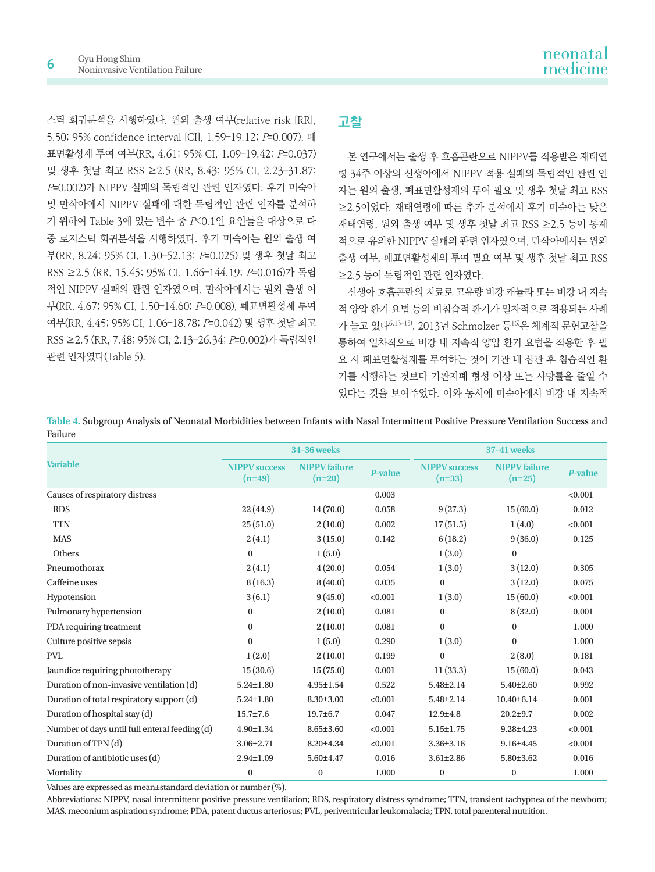스틱 회귀분석을 시행하였다. 원외 출생 여부(relative risk [RR], 5.50; 95% confidence interval [CI], 1.59–19.12; P=0.007), 폐 표면활성제 투여 여부(RR, 4.61; 95% CI, 1.09–19.42; P=0.037) 및 생후 첫날 최고 RSS ≥2.5 (RR, 8.43; 95% CI, 2.23–31.87; P=0.002)가 NIPPV 실패의 독립적인 관련 인자였다. 후기 미숙아 및 만삭아에서 NIPPV 실패에 대한 독립적인 관련 인자를 분석하 기 위하여 Table 3에 있는 변수 중 P<0.1인 요인들을 대상으로 다 중 로지스틱 회귀분석을 시행하였다. 후기 미숙아는 원외 출생 여 부(RR, 8.24; 95% CI, 1.30–52.13; P=0.025) 및 생후 첫날 최고 RSS ≥2.5 (RR, 15.45; 95% CI, 1.66–144.19; P=0.016)가 독립 적인 NIPPV 실패의 관련 인자였으며, 만삭아에서는 원외 출생 여 부(RR, 4.67; 95% CI, 1.50–14.60; P=0.008), 폐표면활성제 투여 여부(RR, 4.45; 95% CI, 1.06–18.78; P=0.042) 및 생후 첫날 최고 RSS ≥2.5 (RR, 7.48; 95% CI, 2.13–26.34; P=0.002)가 독립적인 관련 인자였다(Table 5).

## **고찰**

본 연구에서는 출생 후 호흡곤란으로 NIPPV를 적용받은 재태연 령 34주 이상의 신생아에서 NIPPV 적용 실패의 독립적인 관련 인 자는 원외 출생, 폐표면활성제의 투여 필요 및 생후 첫날 최고 RSS ≥2.5이었다. 재태연령에 따른 추가 분석에서 후기 미숙아는 낮은 재태연령, 원외 출생 여부 및 생후 첫날 최고 RSS ≥2.5 등이 통계 적으로 유의한 NIPPV 실패의 관련 인자였으며, 만삭아에서는 원외 출생 여부, 폐표면활성제의 투여 필요 여부 및 생후 첫날 최고 RSS ≥2.5 등이 독립적인 관련 인자였다.

신생아 호흡곤란의 치료로 고유량 비강 캐뉼라 또는 비강 내 지속 적 양압 환기 요법 등의 비침습적 환기가 일차적으로 적용되는 사례 가 늘고 있다6,13-15). 2013년 Schmolzer 등16)은 체계적 문헌고찰을 통하여 일차적으로 비강 내 지속적 양압 환기 요법을 적용한 후 필 요 시 폐표면활성제를 투여하는 것이 기관 내 삽관 후 침습적인 환 기를 시행하는 것보다 기관지폐 형성 이상 또는 사망률을 줄일 수 있다는 것을 보여주었다. 이와 동시에 미숙아에서 비강 내 지속적

**Variable 34–36 weeks 37–41 weeks NIPPV success (n=49) NIPPV failure (n=20)** *<sup>P</sup>***-value NIPPV success (n=33) NIPPV failure**   $P$ **-value**<br> $P$ **-value** Causes of respiratory distress 6.001 RDS 22 (44.9)  $14 (70.0)$   $0.058$   $9 (27.3)$   $15 (60.0)$   $0.012$ TTN 25 (51.0)  $2(10.0)$   $0.002$   $17(51.5)$   $1(4.0)$   $0.001$  $MAS$  2 (4.1) 3 (15.0) 0.142 6 (18.2) 9 (36.0) 0.125 Others 0 1 (5.0) 1 (3.0) 0 Pneumothorax 2 (4.1) 4 (20.0) 0.054 1 (3.0) 3 (12.0) 0.305 Caffeine uses 6 (16.3) 8 (40.0) 0.035 0 3 (12.0) 0.075 Hypotension 3 (6.1) 9 (45.0) <0.001 1 (3.0) 15 (60.0) <0.001 Pulmonary hypertension 0 0 2 (10.0) 0.081 0 8 (32.0) 0.001 PDA requiring treatment 0 0 2 (10.0) 0.081 0 0 1.000 Culture positive sepsis 0 1 (5.0) 0.290 1 (3.0) 0 1.000 PVL 2 (10.0) 2 (10.0) 0.199 0 2 (8.0) 0.181 Jaundice requiring phototherapy 15 (30.6) 15 (75.0) 0.001 11 (33.3) 15 (60.0) 0.043 Duration of non-invasive ventilation (d) 5.24±1.80 4.95±1.54 0.522 5.48±2.14 5.40±2.60 0.992 Duration of total respiratory support (d) 5.24±1.80 8.30±3.00 <0.001 5.48±2.14 10.40±6.14 0.001 Duration of hospital stay (d) 15.7±7.6 19.7±6.7 0.047 12.9±4.8 20.2±9.7 0.002 Number of days until full enteral feeding (d) 4.90±1.34 8.65±3.60 <0.001 5.15±1.75 9.28±4.23 <0.001 Duration of TPN (d) 3.06±2.71 8.20±4.34 <0.001 3.36±3.16 9.16±4.45 <0.001 Duration of antibiotic uses (d) 2.94±1.09 5.60±4.47 0.016 3.61±2.86 5.80±3.62 0.016 Mortality 0 0 1.000 0 0 1.000

**Table 4.** Subgroup Analysis of Neonatal Morbidities between Infants with Nasal Intermittent Positive Pressure Ventilation Success and Failure

Values are expressed as mean±standard deviation or number (%).

Abbreviations: NIPPV, nasal intermittent positive pressure ventilation; RDS, respiratory distress syndrome; TTN, transient tachypnea of the newborn; MAS, meconium aspiration syndrome; PDA, patent ductus arteriosus; PVL, periventricular leukomalacia; TPN, total parenteral nutrition.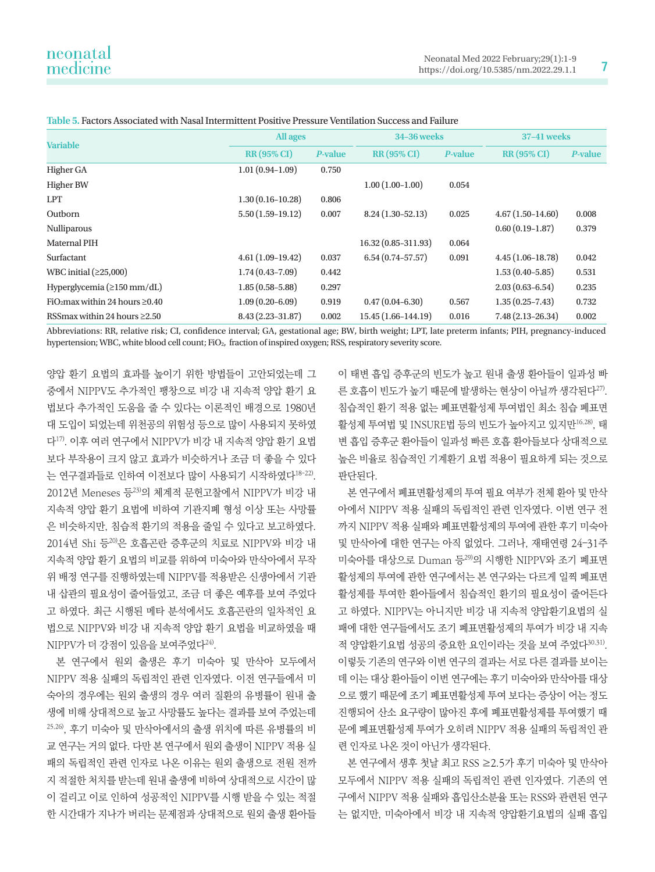| <b>Variable</b>                                  | All ages             |                | <b>34-36 weeks</b>     |         | <b>37-41 weeks</b>   |         |
|--------------------------------------------------|----------------------|----------------|------------------------|---------|----------------------|---------|
|                                                  | <b>RR (95% CI)</b>   | <b>P-value</b> | <b>RR (95% CI)</b>     | P-value | <b>RR (95% CI)</b>   | P-value |
| Higher GA                                        | $1.01(0.94-1.09)$    | 0.750          |                        |         |                      |         |
| <b>Higher BW</b>                                 |                      |                | $1.00(1.00-1.00)$      | 0.054   |                      |         |
| <b>LPT</b>                                       | $1.30(0.16 - 10.28)$ | 0.806          |                        |         |                      |         |
| Outborn                                          | $5.50(1.59-19.12)$   | 0.007          | $8.24(1.30-52.13)$     | 0.025   | $4.67(1.50-14.60)$   | 0.008   |
| Nulliparous                                      |                      |                |                        |         | $0.60(0.19-1.87)$    | 0.379   |
| <b>Maternal PIH</b>                              |                      |                | 16.32 (0.85-311.93)    | 0.064   |                      |         |
| Surfactant                                       | $4.61(1.09-19.42)$   | 0.037          | $6.54(0.74 - 57.57)$   | 0.091   | $4.45(1.06 - 18.78)$ | 0.042   |
| WBC initial $(≥25,000)$                          | $1.74(0.43 - 7.09)$  | 0.442          |                        |         | $1.53(0.40 - 5.85)$  | 0.531   |
| Hyperglycemia ( $\geq$ 150 mm/dL)                | $1.85(0.58 - 5.88)$  | 0.297          |                        |         | $2.03(0.63 - 6.54)$  | 0.235   |
| FiO <sub>2</sub> max within 24 hours $\geq$ 0.40 | $1.09(0.20 - 6.09)$  | 0.919          | $0.47(0.04 - 6.30)$    | 0.567   | $1.35(0.25 - 7.43)$  | 0.732   |
| RSS max within 24 hours $\geq 2.50$              | $8.43(2.23 - 31.87)$ | 0.002          | $15.45(1.66 - 144.19)$ | 0.016   | $7.48(2.13 - 26.34)$ | 0.002   |

**Table 5.** Factors Associated with Nasal Intermittent Positive Pressure Ventilation Success and Failure

Abbreviations: RR, relative risk; CI, confidence interval; GA, gestational age; BW, birth weight; LPT, late preterm infants; PIH, pregnancy-induced hypertension; WBC, white blood cell count; FiO2, fraction of inspired oxygen; RSS, respiratory severity score.

양압 환기 요법의 효과를 높이기 위한 방법들이 고안되었는데 그 중에서 NIPPV도 추가적인 팽창으로 비강 내 지속적 양압 환기 요 법보다 추가적인 도움을 줄 수 있다는 이론적인 배경으로 1980년 대 도입이 되었는데 위천공의 위험성 등으로 많이 사용되지 못하였 다17). 이후 여러 연구에서 NIPPV가 비강 내 지속적 양압 환기 요법 보다 부작용이 크지 않고 효과가 비슷하거나 조금 더 좋을 수 있다 는 연구결과들로 인하여 이전보다 많이 사용되기 시작하였다<sup>18-22)</sup>. 2012년 Meneses 등23)의 체계적 문헌고찰에서 NIPPV가 비강 내 지속적 양압 환기 요법에 비하여 기관지폐 형성 이상 또는 사망률 은 비슷하지만, 침습적 환기의 적용을 줄일 수 있다고 보고하였다. 2014년 Shi 등20)은 호흡곤란 증후군의 치료로 NIPPV와 비강 내 지속적 양압 환기 요법의 비교를 위하여 미숙아와 만삭아에서 무작 위 배정 연구를 진행하였는데 NIPPV를 적용받은 신생아에서 기관 내 삽관의 필요성이 줄어들었고, 조금 더 좋은 예후를 보여 주었다 고 하였다. 최근 시행된 메타 분석에서도 호흡곤란의 일차적인 요 법으로 NIPPV와 비강 내 지속적 양압 환기 요법을 비교하였을 때 NIPPV가 더 강점이 있음을 보여주었다<sup>24)</sup>.

본 연구에서 원외 출생은 후기 미숙아 및 만삭아 모두에서 NIPPV 적용 실패의 독립적인 관련 인자였다. 이전 연구들에서 미 숙아의 경우에는 원외 출생의 경우 여러 질환의 유병률이 원내 출 생에 비해 상대적으로 높고 사망률도 높다는 결과를 보여 주었는데 25,26), 후기 미숙아 및 만삭아에서의 출생 위치에 따른 유병률의 비 교 연구는 거의 없다. 다만 본 연구에서 원외 출생이 NIPPV 적용 실 패의 독립적인 관련 인자로 나온 이유는 원외 출생으로 전원 전까 지 적절한 처치를 받는데 원내 출생에 비하여 상대적으로 시간이 많 이 걸리고 이로 인하여 성공적인 NIPPV를 시행 받을 수 있는 적절 한 시간대가 지나가 버리는 문제점과 상대적으로 원외 출생 환아들

이 태변 흡입 증후군의 빈도가 높고 원내 출생 환아들이 일과성 빠 른 호흡이 빈도가 높기 때문에 발생하는 현상이 아닐까 생각된다27). 침습적인 환기 적용 없는 폐표면활성제 투여법인 최소 침습 폐표면 활성제 투여법 및 INSURE법 등의 빈도가 높아지고 있지만16,28), 태 변 흡입 증후군 환아들이 일과성 빠른 호흡 환아들보다 상대적으로 높은 비율로 침습적인 기계환기 요법 적용이 필요하게 되는 것으로 판단된다.

본 연구에서 폐표면활성제의 투여 필요 여부가 전체 환아 및 만삭 아에서 NIPPV 적용 실패의 독립적인 관련 인자였다. 이번 연구 전 까지 NIPPV 적용 실패와 폐표면활성제의 투여에 관한 후기 미숙아 및 만삭아에 대한 연구는 아직 없었다. 그러나, 재태연령 24–31주 미숙아를 대상으로 Duman 등29)의 시행한 NIPPV와 조기 폐표면 활성제의 투여에 관한 연구에서는 본 연구와는 다르게 일찍 폐표면 활성제를 투여한 환아들에서 침습적인 환기의 필요성이 줄어든다 고 하였다. NIPPV는 아니지만 비강 내 지속적 양압환기요법의 실 패에 대한 연구들에서도 조기 폐표면활성제의 투여가 비강 내 지속 적 양압환기요법 성공의 중요한 요인이라는 것을 보여 주었다30,31). 이렇듯 기존의 연구와 이번 연구의 결과는 서로 다른 결과를 보이는 데 이는 대상 환아들이 이번 연구에는 후기 미숙아와 만삭아를 대상 으로 했기 때문에 조기 폐표면활성제 투여 보다는 증상이 어는 정도 진행되어 산소 요구량이 많아진 후에 폐표면활성제를 투여했기 때 문에 폐표면활성제 투여가 오히려 NIPPV 적용 실패의 독립적인 관 련 인자로 나온 것이 아닌가 생각된다.

본 연구에서 생후 첫날 최고 RSS ≥2.5가 후기 미숙아 및 만삭아 모두에서 NIPPV 적용 실패의 독립적인 관련 인자였다. 기존의 연 구에서 NIPPV 적용 실패와 흡입산소분율 또는 RSS와 관련된 연구 는 없지만, 미숙아에서 비강 내 지속적 양압환기요법의 실패 흡입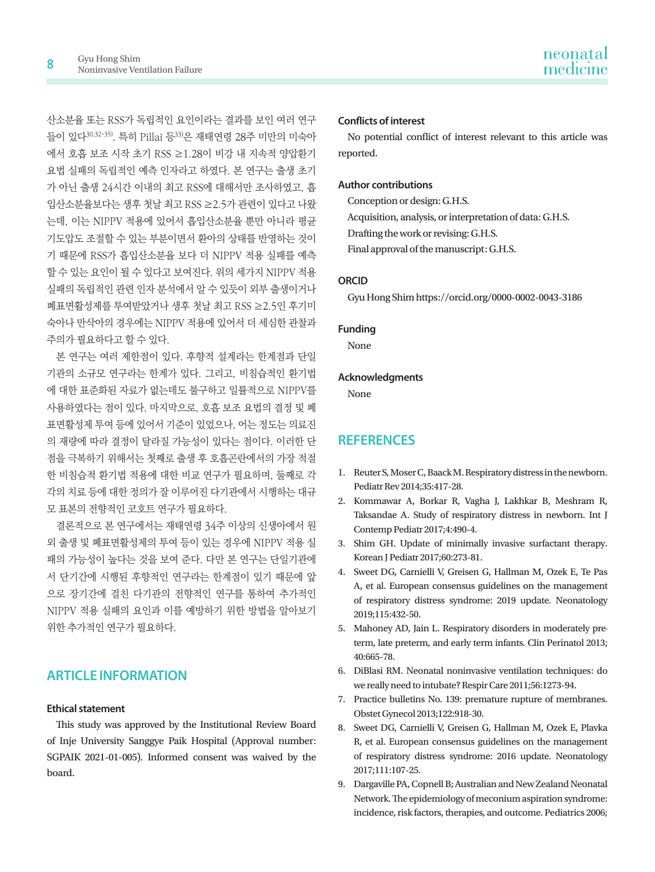산소분율 또는 RSS가 독립적인 요인이라는 결과를 보인 여러 연구 들이 있다30,32-35). 특히 Pillai 등33)은 재태연령 28주 미만의 미숙아 에서 호흡 보조 시작 초기 RSS ≥1.28이 비강 내 지속적 양압환기 요법 실패의 독립적인 예측 인자라고 하였다. 본 연구는 출생 초기 가 아닌 출생 24시간 이내의 최고 RSS에 대해서만 조사하였고, 흡 입산소분율보다는 생후 첫날 최고 RSS ≥2.5가 관련이 있다고 나왔 는데, 이는 NIPPV 적용에 있어서 흡입산소분율 뿐만 아니라 평균 기도압도 조절할 수 있는 부분이면서 환아의 상태를 반영하는 것이 기 때문에 RSS가 흡입산소분율 보다 더 NIPPV 적용 실패를 예측 할 수 있는 요인이 될 수 있다고 보여진다. 위의 세가지 NIPPV 적용 실패의 독립적인 관련 인자 분석에서 알 수 있듯이 외부 출생이거나 폐표면활성제를 투여받았거나 생후 첫날 최고 RSS ≥2.5인 후기미 숙아나 만삭아의 경우에는 NIPPV 적용에 있어서 더 세심한 관찰과 주의가 필요하다고 할 수 있다.

본 연구는 여러 제한점이 있다. 후향적 설계라는 한계점과 단일 기관의 소규모 연구라는 한계가 있다. 그리고, 비침습적인 환기법 에 대한 표준화된 자료가 없는데도 불구하고 일률적으로 NIPPV를 사용하였다는 점이 있다. 마지막으로, 호흡 보조 요법의 결정 및 폐 표면활성제 투여 등에 있어서 기준이 있었으나, 어는 정도는 의료진 의 재량에 따라 결정이 달라질 가능성이 있다는 점이다. 이러한 단 점을 극복하기 위해서는 첫째로 출생 후 호흡곤란에서의 가장 적절 한 비침습적 환기법 적용에 대한 비교 연구가 필요하며, 둘째로 각 각의 치료 등에 대한 정의가 잘 이루어진 다기관에서 시행하는 대규 모 표본의 전향적인 코호트 연구가 필요하다.

결론적으로 본 연구에서는 재태연령 34주 이상의 신생아에서 원 외 출생 및 폐표면활성제의 투여 등이 있는 경우에 NIPPV 적용 실 패의 가능성이 높다는 것을 보여 준다. 다만 본 연구는 단일기관에 서 단기간에 시행된 후향적인 연구라는 한계점이 있기 때문에 앞 으로 장기간에 걸친 다기관의 전향적인 연구를 통하여 추가적인 NIPPV 적용 실패의 요인과 이를 예방하기 위한 방법을 알아보기 위한 추가적인 연구가 필요하다.

## **ARTICLE INFORMATION**

#### **Ethical statement**

This study was approved by the Institutional Review Board of Inje University Sanggye Paik Hospital (Approval number: SGPAIK 2021-01-005). Informed consent was waived by the board.

#### **Conflicts of interest**

No potential conflict of interest relevant to this article was reported.

#### **Author contributions**

Conception or design: G.H.S.

Acquisition, analysis, or interpretation of data: G.H.S.

Drafting the work or revising: G.H.S.

Final approval of the manuscript: G.H.S.

#### **ORCID**

Gyu Hong Shim https://orcid.org/0000-0002-0043-3186

#### **Funding**

None

#### **Acknowledgments**

None

## **REFERENCES**

- 1. Reuter S, Moser C, Baack M. Respiratory distress in the newborn. Pediatr Rev 2014;35:417-28.
- 2. Kommawar A, Borkar R, Vagha J, Lakhkar B, Meshram R, Taksandae A. Study of respiratory distress in newborn. Int J Contemp Pediatr 2017;4:490-4.
- 3. Shim GH. Update of minimally invasive surfactant therapy. Korean J Pediatr 2017;60:273-81.
- 4. Sweet DG, Carnielli V, Greisen G, Hallman M, Ozek E, Te Pas A, et al. European consensus guidelines on the management of respiratory distress syndrome: 2019 update. Neonatology 2019;115:432-50.
- 5. Mahoney AD, Jain L. Respiratory disorders in moderately preterm, late preterm, and early term infants. Clin Perinatol 2013; 40:665-78.
- 6. DiBlasi RM. Neonatal noninvasive ventilation techniques: do we really need to intubate? Respir Care 2011;56:1273-94.
- 7. Practice bulletins No. 139: premature rupture of membranes. Obstet Gynecol 2013;122:918-30.
- 8. Sweet DG, Carnielli V, Greisen G, Hallman M, Ozek E, Plavka R, et al. European consensus guidelines on the management of respiratory distress syndrome: 2016 update. Neonatology 2017;111:107-25.
- 9. Dargaville PA, Copnell B; Australian and New Zealand Neonatal Network. The epidemiology of meconium aspiration syndrome: incidence, risk factors, therapies, and outcome. Pediatrics 2006;